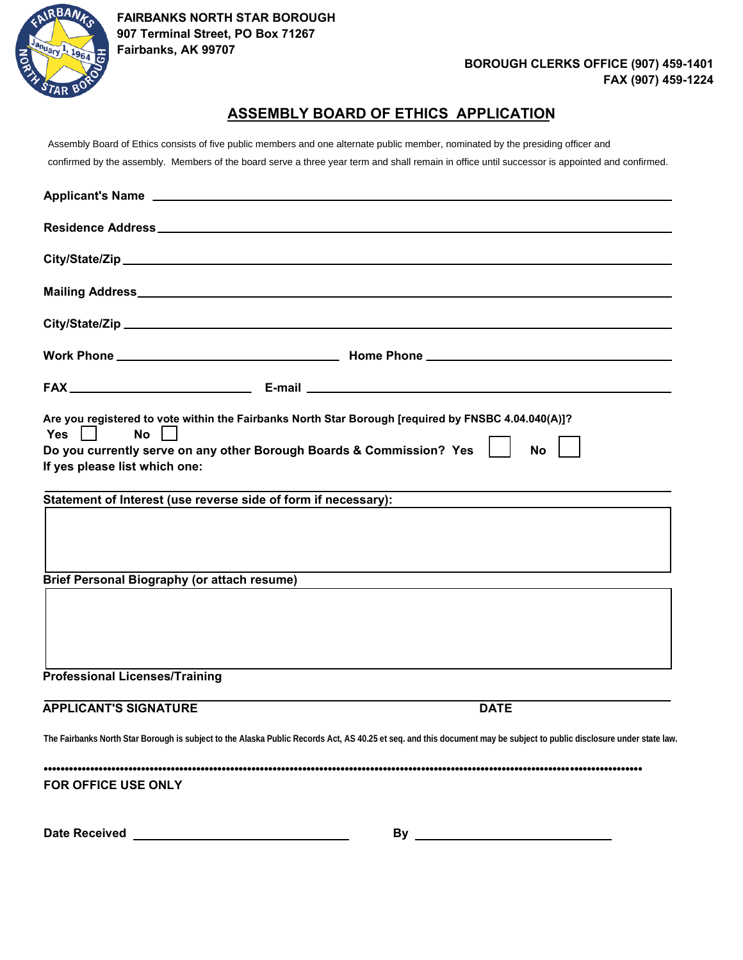

#### **BOROUGH CLERKS OFFICE (907) 459-1401 FAX (907) 459-1224**

#### **ASSEMBLY BOARD OF ETHICS APPLICATION**

Assembly Board of Ethics consists of five public members and one alternate public member, nominated by the presiding officer and confirmed by the assembly. Members of the board serve a three year term and shall remain in office until successor is appointed and confirmed.

| <b>No</b><br><b>Yes</b><br>If yes please list which one: | Are you registered to vote within the Fairbanks North Star Borough [required by FNSBC 4.04.040(A)]?<br>Do you currently serve on any other Borough Boards & Commission? Yes<br><b>No</b> |
|----------------------------------------------------------|------------------------------------------------------------------------------------------------------------------------------------------------------------------------------------------|
|                                                          | Statement of Interest (use reverse side of form if necessary):                                                                                                                           |
| <b>Brief Personal Biography (or attach resume)</b>       |                                                                                                                                                                                          |
|                                                          |                                                                                                                                                                                          |
| <b>Professional Licenses/Training</b>                    |                                                                                                                                                                                          |
| <b>APPLICANT'S SIGNATURE</b>                             | <b>DATE</b>                                                                                                                                                                              |
|                                                          | The Fairbanks North Star Borough is subject to the Alaska Public Records Act, AS 40.25 et seq. and this document may be subject to public disclosure under state law.                    |
| FOR OFFICE USE ONLY                                      |                                                                                                                                                                                          |
| <b>Date Received</b>                                     | By .                                                                                                                                                                                     |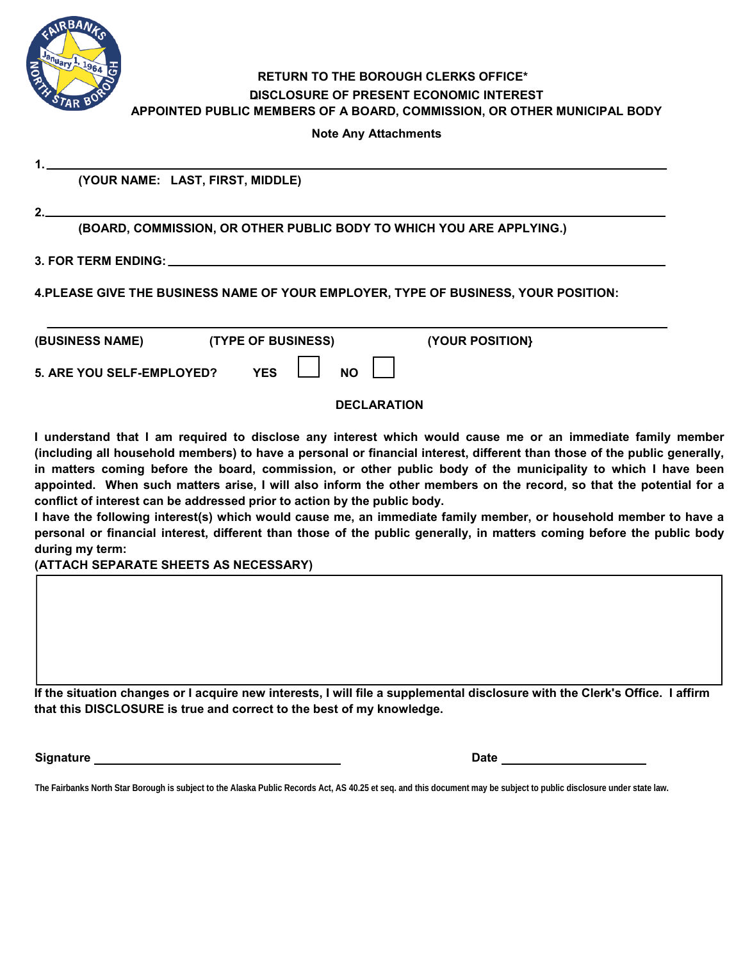

#### **\* DISCLOSURE OF PRESENT ECONOMIC INTEREST RETURN TO THE BOROUGH CLERKS OFFICE\* APPOINTED PUBLIC MEMBERS OF A BOARD, COMMISSION, OR OTHER MUNICIPAL BODY**

**Note Any Attachments**

**(YOUR NAME: LAST, FIRST, MIDDLE)**

**2.** 

**1.**

**(BOARD, COMMISSION, OR OTHER PUBLIC BODY TO WHICH YOU ARE APPLYING.)**

**3. FOR TERM ENDING:**

**4.PLEASE GIVE THE BUSINESS NAME OF YOUR EMPLOYER, TYPE OF BUSINESS, YOUR POSITION:**

| (BUSINESS NAME)                  | <b>(TYPE OF BUSINESS)</b> | (YOUR POSITION) |
|----------------------------------|---------------------------|-----------------|
| <b>5. ARE YOU SELF-EMPLOYED?</b> | NΟ<br>YES                 |                 |

#### **DECLARATION**

**I understand that I am required to disclose any interest which would cause me or an immediate family member (including all household members) to have a personal or financial interest, different than those of the public generally, in matters coming before the board, commission, or other public body of the municipality to which I have been appointed. When such matters arise, I will also inform the other members on the record, so that the potential for a conflict of interest can be addressed prior to action by the public body.**

**I have the following interest(s) which would cause me, an immediate family member, or household member to have a personal or financial interest, different than those of the public generally, in matters coming before the public body during my term:**

**(ATTACH SEPARATE SHEETS AS NECESSARY)**

**If the situation changes or I acquire new interests, I will file a supplemental disclosure with the Clerk's Office. I affirm that this DISCLOSURE is true and correct to the best of my knowledge.**

**Signature** 

**The Fairbanks North Star Borough is subject to the Alaska Public Records Act, AS 40.25 et seq. and this document may be subject to public disclosure under state law.**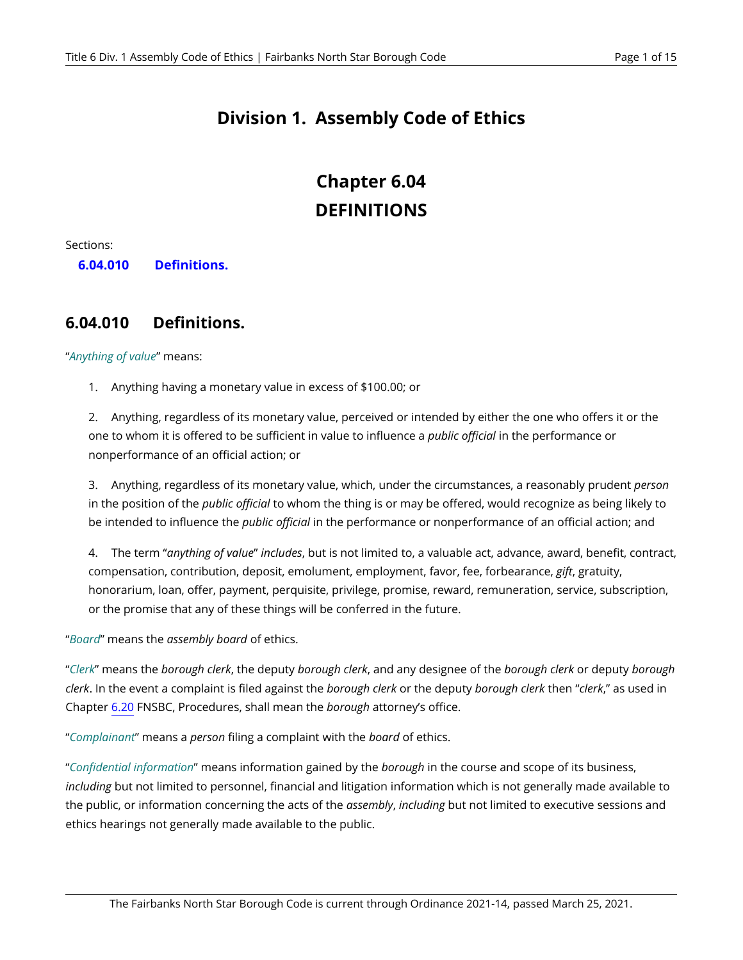## **Division 1. Assembly Code of Ethics**

## **Chapter 6.04 DEFINITIONS**

Sections:

**6.04.010 [Definitions.](#page-2-0)** 

#### <span id="page-2-0"></span>**6.04.010 Definitions.**

"*Anything of value*" means:

1. Anything having a monetary value in excess of \$100.00; or

2. Anything, regardless of its monetary value, perceived or intended by either the one who offers it or the one to whom it is offered to be sufficient in value to influence a *public official* in the performance or nonperformance of an official action; or

3. Anything, regardless of its monetary value, which, under the circumstances, a reasonably prudent *person*  in the position of the *public official* to whom the thing is or may be offered, would recognize as being likely to be intended to influence the *public official* in the performance or nonperformance of an official action; and

4. The term "*anything of value*" *includes*, but is not limited to, a valuable act, advance, award, benefit, contract, compensation, contribution, deposit, emolument, employment, favor, fee, forbearance, *gift*, gratuity, honorarium, loan, offer, payment, perquisite, privilege, promise, reward, remuneration, service, subscription, or the promise that any of these things will be conferred in the future.

"*Board*" means the *assembly board* of ethics.

"*Clerk*" means the *borough clerk*, the deputy *borough clerk*, and any designee of the *borough clerk* or deputy *borough clerk*. In the event a complaint is filed against the *borough clerk* or the deputy *borough clerk* then "*clerk*," as used in Chapter [6.20](#page-8-0) FNSBC, Procedures, shall mean the *borough* attorney's office.

"*Complainant*" means a *person* filing a complaint with the *board* of ethics.

"*Confidential information*" means information gained by the *borough* in the course and scope of its business, *including* but not limited to personnel, financial and litigation information which is not generally made available to the public, or information concerning the acts of the *assembly*, *including* but not limited to executive sessions and ethics hearings not generally made available to the public.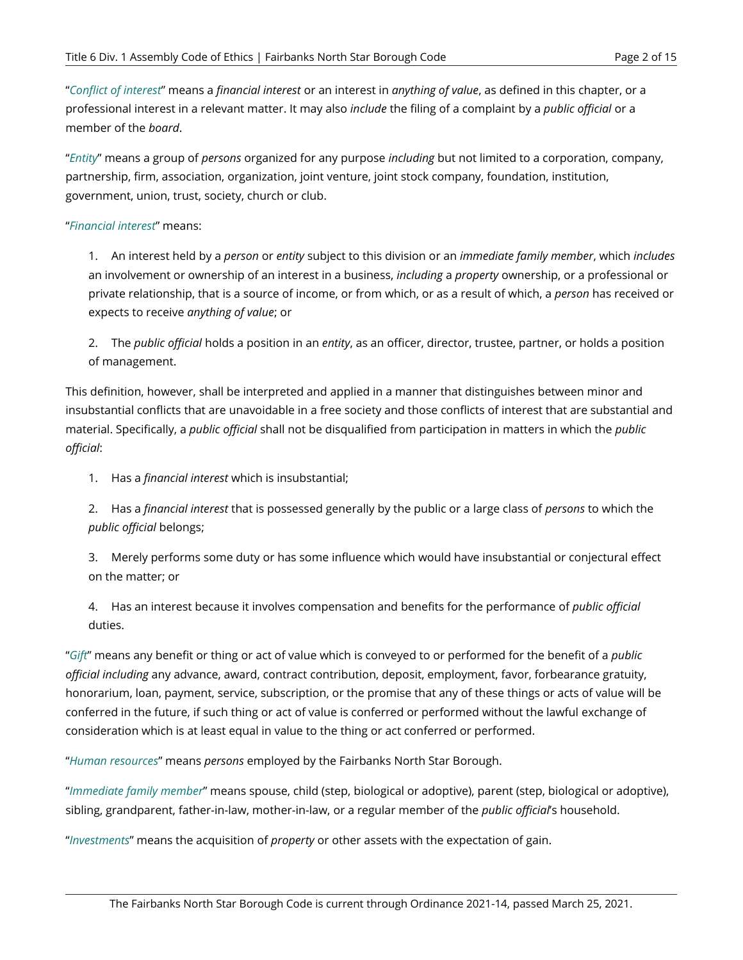"*Conflict of interest*" means a *financial interest* or an interest in *anything of value*, as defined in this chapter, or a professional interest in a relevant matter. It may also *include* the filing of a complaint by a *public official* or a member of the *board*.

"*Entity*" means a group of *persons* organized for any purpose *including* but not limited to a corporation, company, partnership, firm, association, organization, joint venture, joint stock company, foundation, institution, government, union, trust, society, church or club.

#### "*Financial interest*" means:

1. An interest held by a *person* or *entity* subject to this division or an *immediate family member*, which *includes*  an involvement or ownership of an interest in a business, *including* a *property* ownership, or a professional or private relationship, that is a source of income, or from which, or as a result of which, a *person* has received or expects to receive *anything of value*; or

2. The *public official* holds a position in an *entity*, as an officer, director, trustee, partner, or holds a position of management.

This definition, however, shall be interpreted and applied in a manner that distinguishes between minor and insubstantial conflicts that are unavoidable in a free society and those conflicts of interest that are substantial and material. Specifically, a *public official* shall not be disqualified from participation in matters in which the *public official*:

1. Has a *financial interest* which is insubstantial;

2. Has a *financial interest* that is possessed generally by the public or a large class of *persons* to which the *public official* belongs;

3. Merely performs some duty or has some influence which would have insubstantial or conjectural effect on the matter; or

4. Has an interest because it involves compensation and benefits for the performance of *public official*  duties.

"*Gift*" means any benefit or thing or act of value which is conveyed to or performed for the benefit of a *public official including* any advance, award, contract contribution, deposit, employment, favor, forbearance gratuity, honorarium, loan, payment, service, subscription, or the promise that any of these things or acts of value will be conferred in the future, if such thing or act of value is conferred or performed without the lawful exchange of consideration which is at least equal in value to the thing or act conferred or performed.

"*Human resources*" means *persons* employed by the Fairbanks North Star Borough.

"*Immediate family member*" means spouse, child (step, biological or adoptive), parent (step, biological or adoptive), sibling, grandparent, father-in-law, mother-in-law, or a regular member of the *public official*'s household.

"*Investments*" means the acquisition of *property* or other assets with the expectation of gain.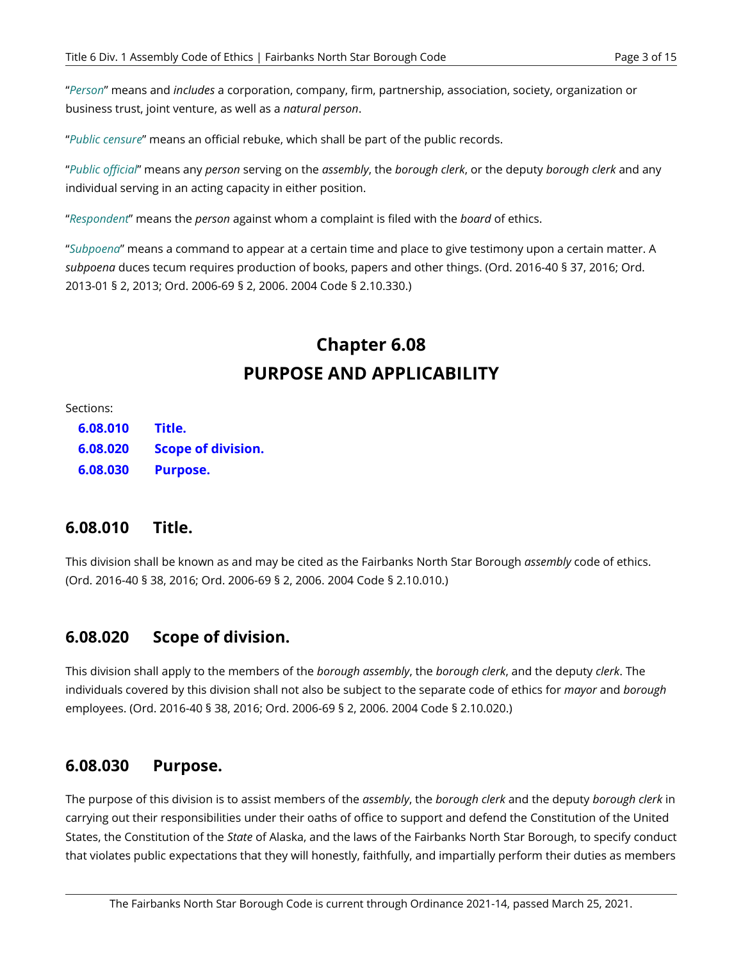"*Person*" means and *includes* a corporation, company, firm, partnership, association, society, organization or business trust, joint venture, as well as a *natural person*.

"*Public censure*" means an official rebuke, which shall be part of the public records.

"*Public official*" means any *person* serving on the *assembly*, the *borough clerk*, or the deputy *borough clerk* and any individual serving in an acting capacity in either position.

"*Respondent*" means the *person* against whom a complaint is filed with the *board* of ethics.

"*Subpoena*" means a command to appear at a certain time and place to give testimony upon a certain matter. A *subpoena* duces tecum requires production of books, papers and other things. (Ord. 2016-40 § 37, 2016; Ord. 2013-01 § 2, 2013; Ord. 2006-69 § 2, 2006. 2004 Code § 2.10.330.)

## **Chapter 6.08 PURPOSE AND APPLICABILITY**

Sections:

**[6.08.010](#page-4-0)  6.08.020 6.08.030 Title. [Scope of division.](#page-4-1)  [Purpose.](#page-4-2)** 

#### <span id="page-4-0"></span>**6.08.010 Title.**

This division shall be known as and may be cited as the Fairbanks North Star Borough *assembly* code of ethics. (Ord. 2016-40 § 38, 2016; Ord. 2006-69 § 2, 2006. 2004 Code § 2.10.010.)

#### <span id="page-4-1"></span>**6.08.020 Scope of division.**

This division shall apply to the members of the *borough assembly*, the *borough clerk*, and the deputy *clerk*. The individuals covered by this division shall not also be subject to the separate code of ethics for *mayor* and *borough*  employees. (Ord. 2016-40 § 38, 2016; Ord. 2006-69 § 2, 2006. 2004 Code § 2.10.020.)

#### <span id="page-4-2"></span>**6.08.030 Purpose.**

The purpose of this division is to assist members of the *assembly*, the *borough clerk* and the deputy *borough clerk* in carrying out their responsibilities under their oaths of office to support and defend the Constitution of the United States, the Constitution of the *State* of Alaska, and the laws of the Fairbanks North Star Borough, to specify conduct that violates public expectations that they will honestly, faithfully, and impartially perform their duties as members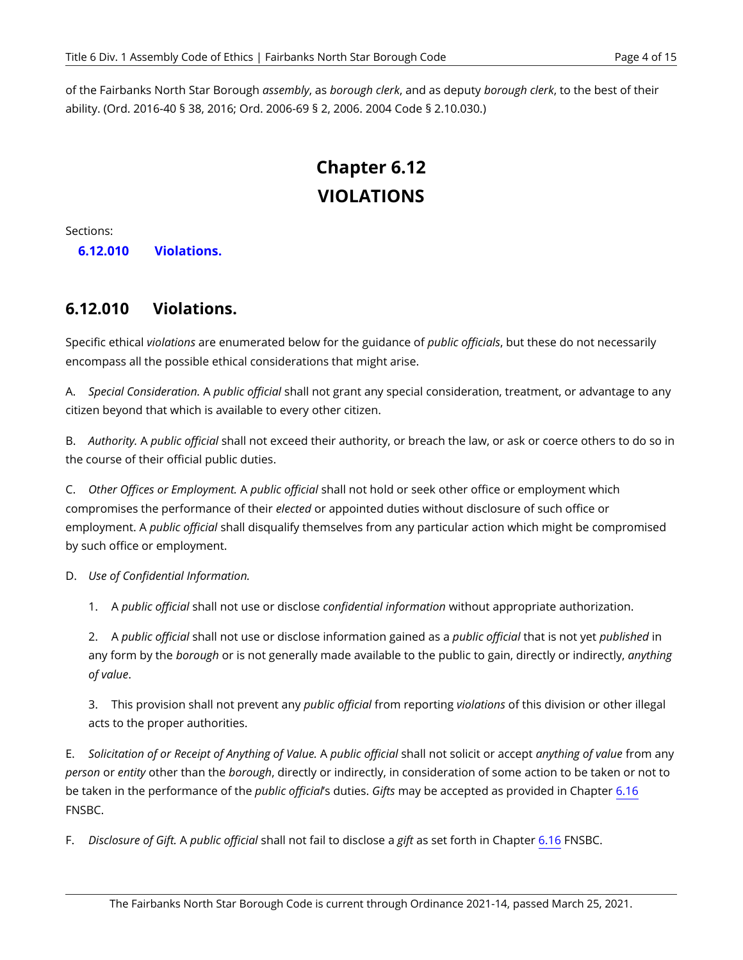of the Fairbanks North Star Borough *assembly*, as *borough clerk*, and as deputy *borough clerk*, to the best of their ability. (Ord. 2016-40 § 38, 2016; Ord. 2006-69 § 2, 2006. 2004 Code § 2.10.030.)

# **Chapter 6.12 VIOLATIONS**

Sections:

**6.12.010 [Violations.](#page-5-0)** 

#### <span id="page-5-0"></span>**6.12.010 Violations.**

Specific ethical *violations* are enumerated below for the guidance of *public officials*, but these do not necessarily encompass all the possible ethical considerations that might arise.

A. *Special Consideration.* A *public official* shall not grant any special consideration, treatment, or advantage to any citizen beyond that which is available to every other citizen.

B. *Authority.* A *public official* shall not exceed their authority, or breach the law, or ask or coerce others to do so in the course of their official public duties.

C. *Other Offices or Employment.* A *public official* shall not hold or seek other office or employment which compromises the performance of their *elected* or appointed duties without disclosure of such office or employment. A *public official* shall disqualify themselves from any particular action which might be compromised by such office or employment.

D. *Use of Confidential Information.* 

1. A *public official* shall not use or disclose *confidential information* without appropriate authorization.

2. A *public official* shall not use or disclose information gained as a *public official* that is not yet *published* in any form by the *borough* or is not generally made available to the public to gain, directly or indirectly, *anything of value*.

3. This provision shall not prevent any *public official* from reporting *violations* of this division or other illegal acts to the proper authorities.

E. *Solicitation of or Receipt of Anything of Value.* A *public official* shall not solicit or accept *anything of value* from any *person* or *entity* other than the *borough*, directly or indirectly, in consideration of some action to be taken or not to be taken in the performance of the *public official*'s duties. *Gifts* may be accepted as provided in Chapter [6.16](#page-7-0) FNSBC.

F. *Disclosure of Gift.* A *public official* shall not fail to disclose a *gift* as set forth in Chapter [6.16](#page-7-0) FNSBC.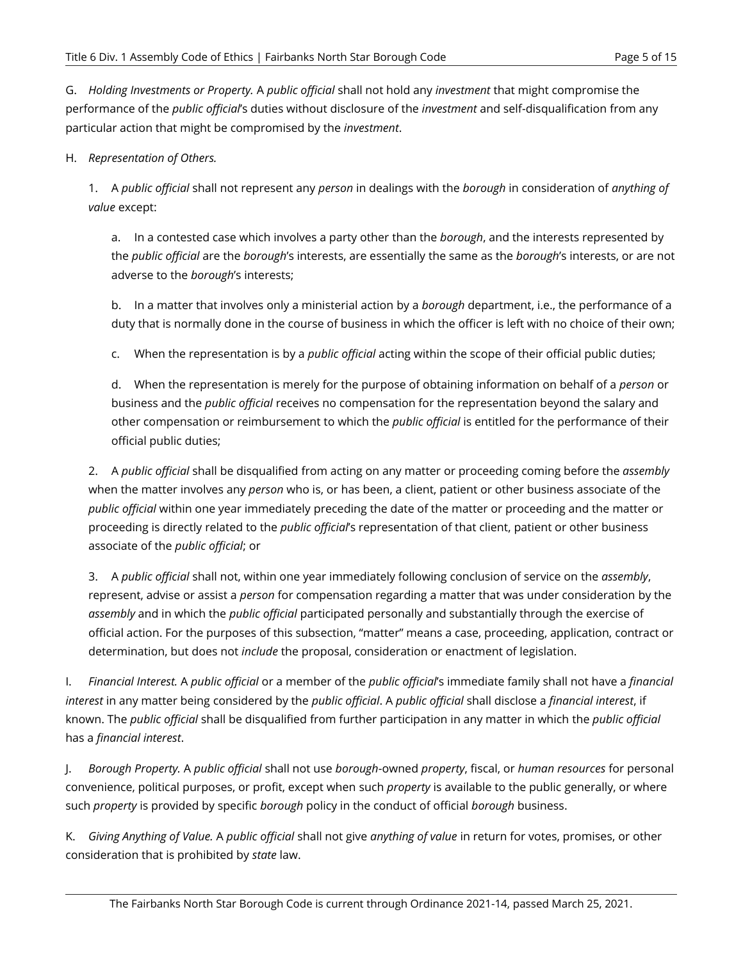G. *Holding Investments or Property.* A *public official* shall not hold any *investment* that might compromise the performance of the *public official*'s duties without disclosure of the *investment* and self-disqualification from any particular action that might be compromised by the *investment*.

#### H. *Representation of Others.*

1. A *public official* shall not represent any *person* in dealings with the *borough* in consideration of *anything of value* except:

a. In a contested case which involves a party other than the *borough*, and the interests represented by the *public official* are the *borough*'s interests, are essentially the same as the *borough*'s interests, or are not adverse to the *borough*'s interests;

b. In a matter that involves only a ministerial action by a *borough* department, i.e., the performance of a duty that is normally done in the course of business in which the officer is left with no choice of their own;

c. When the representation is by a *public official* acting within the scope of their official public duties;

d. When the representation is merely for the purpose of obtaining information on behalf of a *person* or business and the *public official* receives no compensation for the representation beyond the salary and other compensation or reimbursement to which the *public official* is entitled for the performance of their official public duties;

2. A *public official* shall be disqualified from acting on any matter or proceeding coming before the *assembly*  when the matter involves any *person* who is, or has been, a client, patient or other business associate of the *public official* within one year immediately preceding the date of the matter or proceeding and the matter or proceeding is directly related to the *public official*'s representation of that client, patient or other business associate of the *public official*; or

3. A *public official* shall not, within one year immediately following conclusion of service on the *assembly*, represent, advise or assist a *person* for compensation regarding a matter that was under consideration by the *assembly* and in which the *public official* participated personally and substantially through the exercise of official action. For the purposes of this subsection, "matter" means a case, proceeding, application, contract or determination, but does not *include* the proposal, consideration or enactment of legislation.

<span id="page-6-0"></span>I. *Financial Interest.* A *public official* or a member of the *public official*'s immediate family shall not have a *financial interest* in any matter being considered by the *public official*. A *public official* shall disclose a *financial interest*, if known. The *public official* shall be disqualified from further participation in any matter in which the *public official*  has a *financial interest*.

J. *Borough Property.* A *public official* shall not use *borough*-owned *property*, fiscal, or *human resources* for personal convenience, political purposes, or profit, except when such *property* is available to the public generally, or where such *property* is provided by specific *borough* policy in the conduct of official *borough* business.

K. *Giving Anything of Value.* A *public official* shall not give *anything of value* in return for votes, promises, or other consideration that is prohibited by *state* law.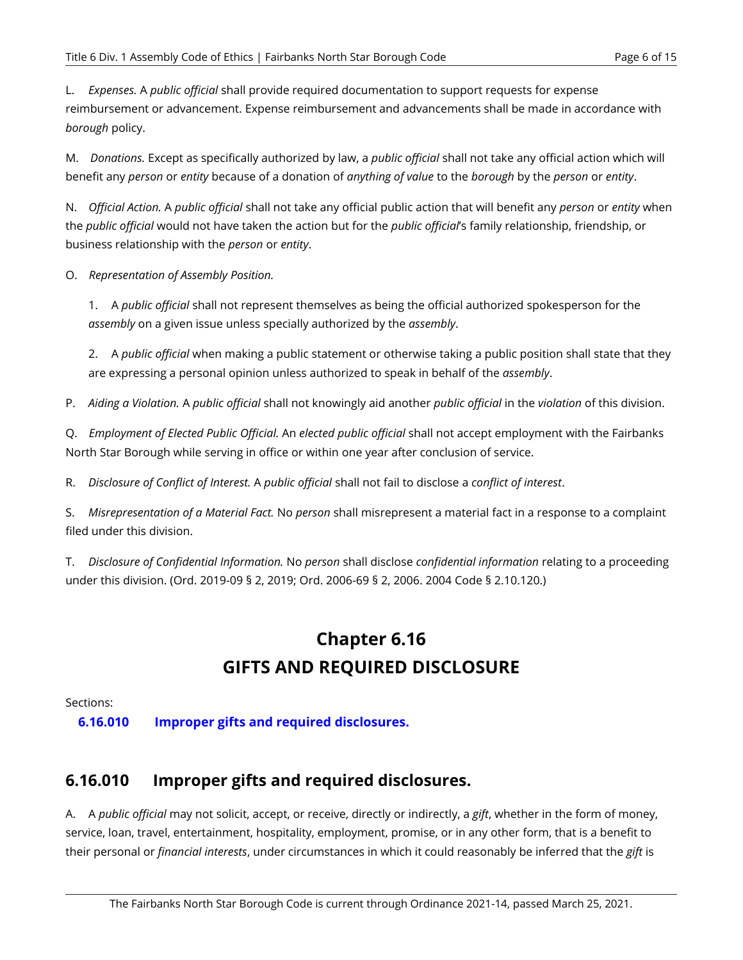L. *Expenses.* A *public official* shall provide required documentation to support requests for expense reimbursement or advancement. Expense reimbursement and advancements shall be made in accordance with *borough* policy.

M. *Donations.* Except as specifically authorized by law, a *public official* shall not take any official action which will benefit any *person* or *entity* because of a donation of *anything of value* to the *borough* by the *person* or *entity*.

N. *Official Action.* A *public official* shall not take any official public action that will benefit any *person* or *entity* when the *public official* would not have taken the action but for the *public official*'s family relationship, friendship, or business relationship with the *person* or *entity*.

O. *Representation of Assembly Position.* 

1. A *public official* shall not represent themselves as being the official authorized spokesperson for the *assembly* on a given issue unless specially authorized by the *assembly*.

2. A *public official* when making a public statement or otherwise taking a public position shall state that they are expressing a personal opinion unless authorized to speak in behalf of the *assembly*.

P. *Aiding a Violation.* A *public official* shall not knowingly aid another *public official* in the *violation* of this division.

Q. *Employment of Elected Public Official.* An *elected public official* shall not accept employment with the Fairbanks North Star Borough while serving in office or within one year after conclusion of service.

R. *Disclosure of Conflict of Interest.* A *public official* shall not fail to disclose a *conflict of interest*.

S. *Misrepresentation of a Material Fact.* No *person* shall misrepresent a material fact in a response to a complaint filed under this division.

<span id="page-7-0"></span>T. *Disclosure of Confidential Information.* No *person* shall disclose *confidential information* relating to a proceeding under this division. (Ord. 2019-09 § 2, 2019; Ord. 2006-69 § 2, 2006. 2004 Code § 2.10.120.)

## **Chapter 6.16 GIFTS AND REQUIRED DISCLOSURE**

Sections:

**6.16.010 [Improper gifts and required disclosures.](#page-7-1)** 

## <span id="page-7-1"></span>**6.16.010 Improper gifts and required disclosures.**

A. A *public official* may not solicit, accept, or receive, directly or indirectly, a *gift*, whether in the form of money, service, loan, travel, entertainment, hospitality, employment, promise, or in any other form, that is a benefit to their personal or *financial interests*, under circumstances in which it could reasonably be inferred that the *gift* is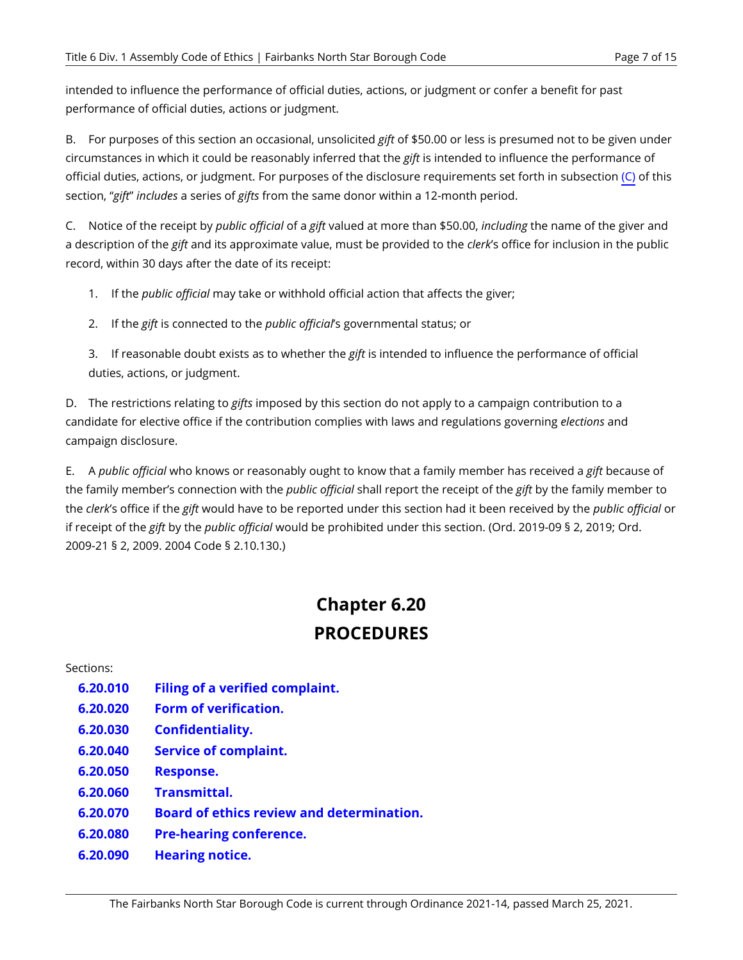intended to influence the performance of official duties, actions, or judgment or confer a benefit for past performance of official duties, actions or judgment.

B. For purposes of this section an occasional, unsolicited *gift* of \$50.00 or less is presumed not to be given under circumstances in which it could be reasonably inferred that the *gift* is intended to influence the performance of official duties, actions, or judgment. For purposes of the disclosure requirements set forth in subsection [\(C\)](#page-8-1) of this section, "*gift*" *includes* a series of *gifts* from the same donor within a 12-month period.

<span id="page-8-1"></span>C. Notice of the receipt by *public official* of a *gift* valued at more than \$50.00, *including* the name of the giver and a description of the *gift* and its approximate value, must be provided to the *clerk*'s office for inclusion in the public record, within 30 days after the date of its receipt:

- 1. If the *public official* may take or withhold official action that affects the giver;
- 2. If the *gift* is connected to the *public official*'s governmental status; or

3. If reasonable doubt exists as to whether the *gift* is intended to influence the performance of official duties, actions, or judgment.

D. The restrictions relating to *gifts* imposed by this section do not apply to a campaign contribution to a candidate for elective office if the contribution complies with laws and regulations governing *elections* and campaign disclosure.

E. A *public official* who knows or reasonably ought to know that a family member has received a *gift* because of the family member's connection with the *public official* shall report the receipt of the *gift* by the family member to the *clerk*'s office if the *gift* would have to be reported under this section had it been received by the *public official* or if receipt of the *gift* by the *public official* would be prohibited under this section. (Ord. 2019-09 § 2, 2019; Ord. 2009-21 § 2, 2009. 2004 Code § 2.10.130.)

# **Chapter 6.20 PROCEDURES**

<span id="page-8-0"></span>Sections:

- **6.20.010 [Filing of a verified complaint.](#page-9-0)**
- **6.20.020 [Form of verification.](#page-9-1)**
- **6.20.030 [Confidentiality.](#page-9-2)**
- **6.20.040 [Service of complaint.](#page-10-0)**
- **6.20.050 [Response.](#page-11-0)**
- **6.20.060 [Transmittal.](#page-11-1)**
- **6.20.070 [Board of ethics review and determination.](#page-11-2)**
- **6.20.080 [Pre-hearing conference.](#page-11-3)**
- **6.20.090 [Hearing notice.](#page-12-0)**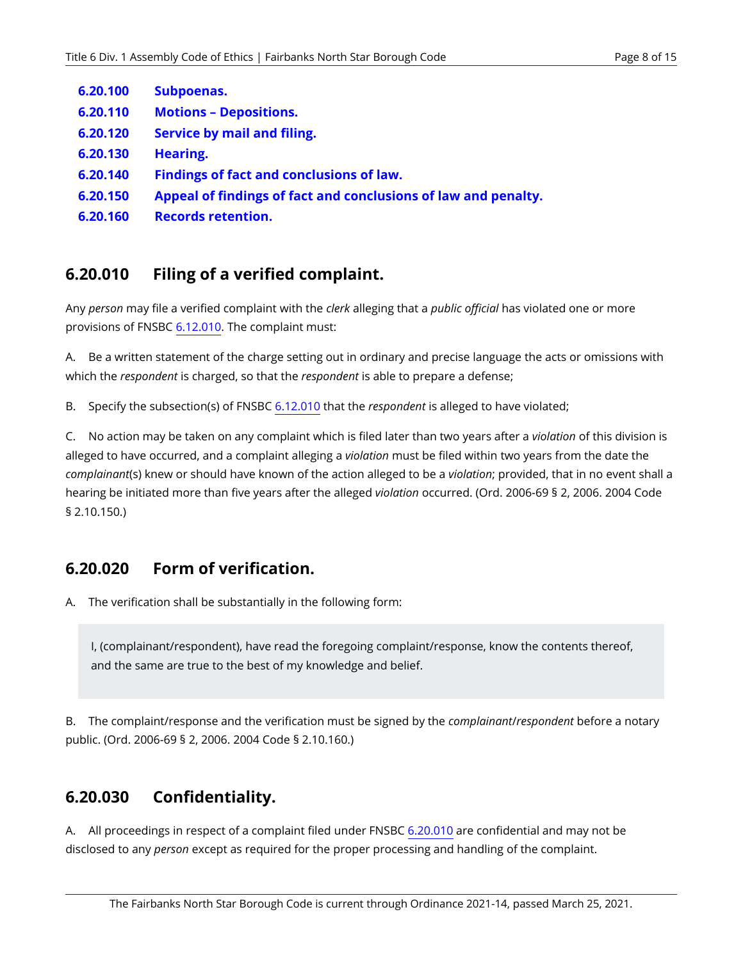- **6.20.100 [Subpoenas.](#page-12-1)**
- **6.20.110 Motions [– Depositions.](#page-13-0)**
- **6.20.120 [Service by mail and filing.](#page-13-1)**
- **6.20.130 [Hearing.](#page-13-2)**
- **6.20.140 [Findings of fact and conclusions of law.](#page-14-0)**
- **6.20.150 [Appeal of findings of fact and conclusions of law and penalty.](#page-14-1)**
- **6.20.160 [Records retention.](#page-15-0)**

#### <span id="page-9-0"></span>**6.20.010 Filing of a verified complaint.**

Any *person* may file a verified complaint with the *clerk* alleging that a *public official* has violated one or more provisions of FNSBC [6.12.010](#page-5-0). The complaint must:

A. Be a written statement of the charge setting out in ordinary and precise language the acts or omissions with which the *respondent* is charged, so that the *respondent* is able to prepare a defense;

B. Specify the subsection(s) of FNSBC [6.12.010](#page-5-0) that the *respondent* is alleged to have violated;

C. No action may be taken on any complaint which is filed later than two years after a *violation* of this division is alleged to have occurred, and a complaint alleging a *violation* must be filed within two years from the date the *complainant*(s) knew or should have known of the action alleged to be a *violation*; provided, that in no event shall a hearing be initiated more than five years after the alleged *violation* occurred. (Ord. 2006-69 § 2, 2006. 2004 Code § 2.10.150.)

#### <span id="page-9-1"></span>**6.20.020 Form of verification.**

A. The verification shall be substantially in the following form:

I, (complainant/respondent), have read the foregoing complaint/response, know the contents thereof, and the same are true to the best of my knowledge and belief.

B. The complaint/response and the verification must be signed by the *complainant*/*respondent* before a notary public. (Ord. 2006-69 § 2, 2006. 2004 Code § 2.10.160.)

#### <span id="page-9-2"></span>**6.20.030 Confidentiality.**

A. All proceedings in respect of a complaint filed under FNSBC [6.20.010](#page-9-0) are confidential and may not be disclosed to any *person* except as required for the proper processing and handling of the complaint.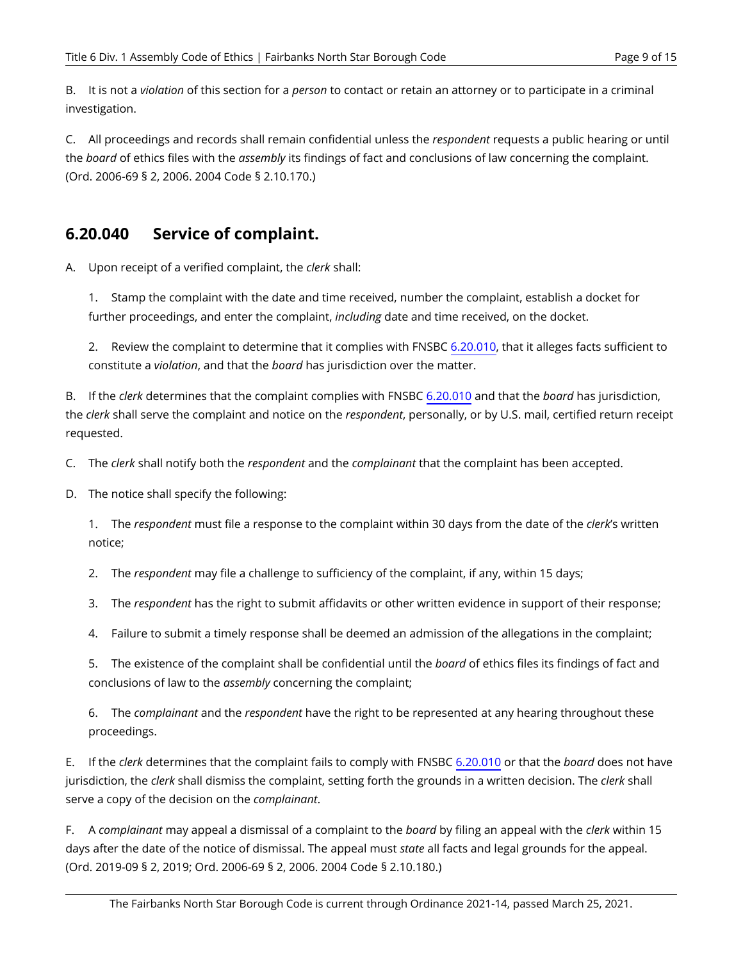B. It is not a *violation* of this section for a *person* to contact or retain an attorney or to participate in a criminal investigation.

C. All proceedings and records shall remain confidential unless the *respondent* requests a public hearing or until the *board* of ethics files with the *assembly* its findings of fact and conclusions of law concerning the complaint. (Ord. 2006-69 § 2, 2006. 2004 Code § 2.10.170.)

#### <span id="page-10-0"></span>**6.20.040 Service of complaint.**

A. Upon receipt of a verified complaint, the *clerk* shall:

1. Stamp the complaint with the date and time received, number the complaint, establish a docket for further proceedings, and enter the complaint, *including* date and time received, on the docket.

2. Review the complaint to determine that it complies with FNSBC [6.20.010](#page-9-0), that it alleges facts sufficient to constitute a *violation*, and that the *board* has jurisdiction over the matter.

B. If the *clerk* determines that the complaint complies with FNSBC [6.20.010](#page-9-0) and that the *board* has jurisdiction, the *clerk* shall serve the complaint and notice on the *respondent*, personally, or by U.S. mail, certified return receipt requested.

C. The *clerk* shall notify both the *respondent* and the *complainant* that the complaint has been accepted.

D. The notice shall specify the following:

1. The *respondent* must file a response to the complaint within 30 days from the date of the *clerk*'s written notice;

2. The *respondent* may file a challenge to sufficiency of the complaint, if any, within 15 days;

3. The *respondent* has the right to submit affidavits or other written evidence in support of their response;

4. Failure to submit a timely response shall be deemed an admission of the allegations in the complaint;

5. The existence of the complaint shall be confidential until the *board* of ethics files its findings of fact and conclusions of law to the *assembly* concerning the complaint;

6. The *complainant* and the *respondent* have the right to be represented at any hearing throughout these proceedings.

E. If the *clerk* determines that the complaint fails to comply with FNSBC [6.20.010](#page-9-0) or that the *board* does not have jurisdiction, the *clerk* shall dismiss the complaint, setting forth the grounds in a written decision. The *clerk* shall serve a copy of the decision on the *complainant*.

<span id="page-10-1"></span>F. A *complainant* may appeal a dismissal of a complaint to the *board* by filing an appeal with the *clerk* within 15 days after the date of the notice of dismissal. The appeal must *state* all facts and legal grounds for the appeal. (Ord. 2019-09 § 2, 2019; Ord. 2006-69 § 2, 2006. 2004 Code § 2.10.180.)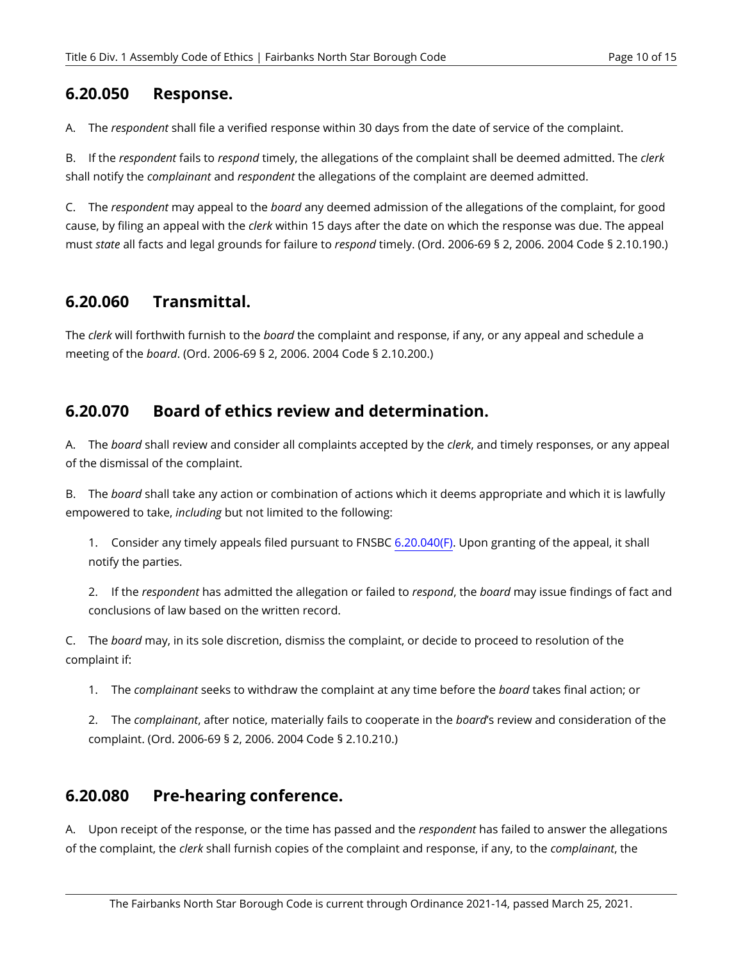#### <span id="page-11-0"></span>**6.20.050 Response.**

A. The *respondent* shall file a verified response within 30 days from the date of service of the complaint.

B. If the *respondent* fails to *respond* timely, the allegations of the complaint shall be deemed admitted. The *clerk*  shall notify the *complainant* and *respondent* the allegations of the complaint are deemed admitted.

C. The *respondent* may appeal to the *board* any deemed admission of the allegations of the complaint, for good cause, by filing an appeal with the *clerk* within 15 days after the date on which the response was due. The appeal must *state* all facts and legal grounds for failure to *respond* timely. (Ord. 2006-69 § 2, 2006. 2004 Code § 2.10.190.)

## <span id="page-11-1"></span>**6.20.060 Transmittal.**

The *clerk* will forthwith furnish to the *board* the complaint and response, if any, or any appeal and schedule a meeting of the *board*. (Ord. 2006-69 § 2, 2006. 2004 Code § 2.10.200.)

#### <span id="page-11-2"></span>**6.20.070 Board of ethics review and determination.**

A. The *board* shall review and consider all complaints accepted by the *clerk*, and timely responses, or any appeal of the dismissal of the complaint.

B. The *board* shall take any action or combination of actions which it deems appropriate and which it is lawfully empowered to take, *including* but not limited to the following:

1. Consider any timely appeals filed pursuant to FNSBC [6.20.040\(F\)](#page-10-1). Upon granting of the appeal, it shall notify the parties.

2. If the *respondent* has admitted the allegation or failed to *respond*, the *board* may issue findings of fact and conclusions of law based on the written record.

C. The *board* may, in its sole discretion, dismiss the complaint, or decide to proceed to resolution of the complaint if:

1. The *complainant* seeks to withdraw the complaint at any time before the *board* takes final action; or

2. The *complainant*, after notice, materially fails to cooperate in the *board*'s review and consideration of the complaint. (Ord. 2006-69 § 2, 2006. 2004 Code § 2.10.210.)

#### <span id="page-11-3"></span>**6.20.080 Pre-hearing conference.**

A. Upon receipt of the response, or the time has passed and the *respondent* has failed to answer the allegations of the complaint, the *clerk* shall furnish copies of the complaint and response, if any, to the *complainant*, the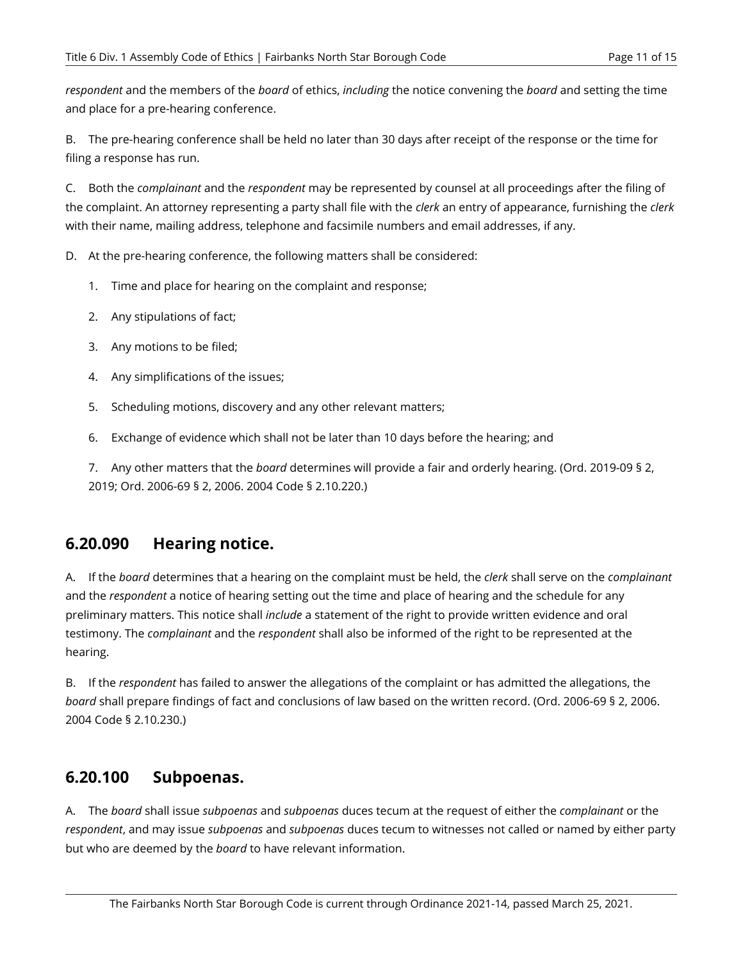*respondent* and the members of the *board* of ethics, *including* the notice convening the *board* and setting the time and place for a pre-hearing conference.

B. The pre-hearing conference shall be held no later than 30 days after receipt of the response or the time for filing a response has run.

C. Both the *complainant* and the *respondent* may be represented by counsel at all proceedings after the filing of the complaint. An attorney representing a party shall file with the *clerk* an entry of appearance, furnishing the *clerk*  with their name, mailing address, telephone and facsimile numbers and email addresses, if any.

D. At the pre-hearing conference, the following matters shall be considered:

- 1. Time and place for hearing on the complaint and response;
- 2. Any stipulations of fact;
- 3. Any motions to be filed;
- 4. Any simplifications of the issues;
- 5. Scheduling motions, discovery and any other relevant matters;
- 6. Exchange of evidence which shall not be later than 10 days before the hearing; and

7. Any other matters that the *board* determines will provide a fair and orderly hearing. (Ord. 2019-09 § 2, 2019; Ord. 2006-69 § 2, 2006. 2004 Code § 2.10.220.)

## <span id="page-12-0"></span>**6.20.090 Hearing notice.**

A. If the *board* determines that a hearing on the complaint must be held, the *clerk* shall serve on the *complainant*  and the *respondent* a notice of hearing setting out the time and place of hearing and the schedule for any preliminary matters. This notice shall *include* a statement of the right to provide written evidence and oral testimony. The *complainant* and the *respondent* shall also be informed of the right to be represented at the hearing.

B. If the *respondent* has failed to answer the allegations of the complaint or has admitted the allegations, the *board* shall prepare findings of fact and conclusions of law based on the written record. (Ord. 2006-69 § 2, 2006. 2004 Code § 2.10.230.)

## <span id="page-12-1"></span>**6.20.100 Subpoenas.**

A. The *board* shall issue *subpoenas* and *subpoenas* duces tecum at the request of either the *complainant* or the *respondent*, and may issue *subpoenas* and *subpoenas* duces tecum to witnesses not called or named by either party but who are deemed by the *board* to have relevant information.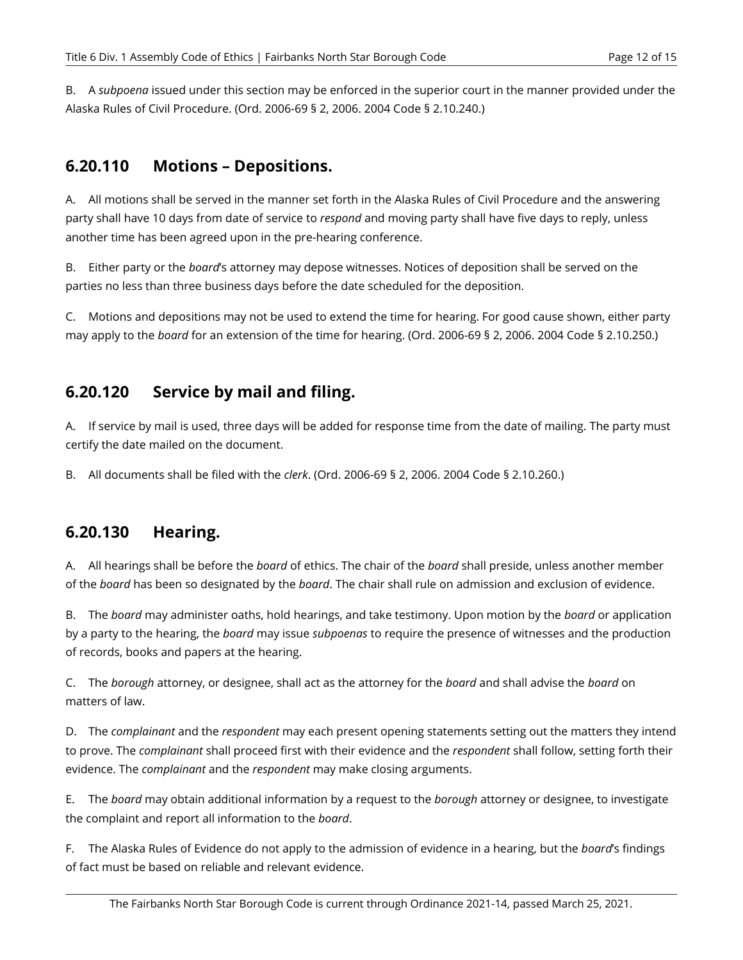B. A *subpoena* issued under this section may be enforced in the superior court in the manner provided under the Alaska Rules of Civil Procedure. (Ord. 2006-69 § 2, 2006. 2004 Code § 2.10.240.)

#### <span id="page-13-0"></span>**6.20.110 Motions – Depositions.**

A. All motions shall be served in the manner set forth in the Alaska Rules of Civil Procedure and the answering party shall have 10 days from date of service to *respond* and moving party shall have five days to reply, unless another time has been agreed upon in the pre-hearing conference.

B. Either party or the *board*'s attorney may depose witnesses. Notices of deposition shall be served on the parties no less than three business days before the date scheduled for the deposition.

C. Motions and depositions may not be used to extend the time for hearing. For good cause shown, either party may apply to the *board* for an extension of the time for hearing. (Ord. 2006-69 § 2, 2006. 2004 Code § 2.10.250.)

## <span id="page-13-1"></span>**6.20.120 Service by mail and filing.**

A. If service by mail is used, three days will be added for response time from the date of mailing. The party must certify the date mailed on the document.

B. All documents shall be filed with the *clerk*. (Ord. 2006-69 § 2, 2006. 2004 Code § 2.10.260.)

## <span id="page-13-2"></span>**6.20.130 Hearing.**

A. All hearings shall be before the *board* of ethics. The chair of the *board* shall preside, unless another member of the *board* has been so designated by the *board*. The chair shall rule on admission and exclusion of evidence.

B. The *board* may administer oaths, hold hearings, and take testimony. Upon motion by the *board* or application by a party to the hearing, the *board* may issue *subpoenas* to require the presence of witnesses and the production of records, books and papers at the hearing.

C. The *borough* attorney, or designee, shall act as the attorney for the *board* and shall advise the *board* on matters of law.

D. The *complainant* and the *respondent* may each present opening statements setting out the matters they intend to prove. The *complainant* shall proceed first with their evidence and the *respondent* shall follow, setting forth their evidence. The *complainant* and the *respondent* may make closing arguments.

E. The *board* may obtain additional information by a request to the *borough* attorney or designee, to investigate the complaint and report all information to the *board*.

F. The Alaska Rules of Evidence do not apply to the admission of evidence in a hearing, but the *board*'s findings of fact must be based on reliable and relevant evidence.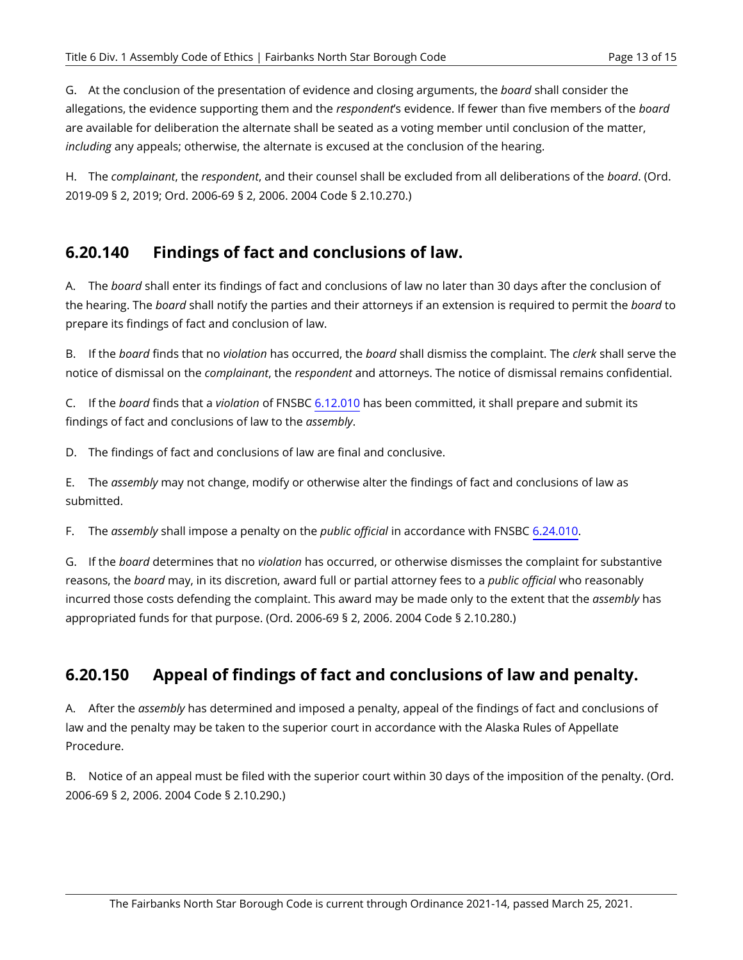G. At the conclusion of the presentation of evidence and closing arguments, the *board* shall consider the allegations, the evidence supporting them and the *respondent*'s evidence. If fewer than five members of the *board*  are available for deliberation the alternate shall be seated as a voting member until conclusion of the matter, *including* any appeals; otherwise, the alternate is excused at the conclusion of the hearing.

H. The *complainant*, the *respondent*, and their counsel shall be excluded from all deliberations of the *board*. (Ord. 2019-09 § 2, 2019; Ord. 2006-69 § 2, 2006. 2004 Code § 2.10.270.)

## <span id="page-14-0"></span>**6.20.140 Findings of fact and conclusions of law.**

A. The *board* shall enter its findings of fact and conclusions of law no later than 30 days after the conclusion of the hearing. The *board* shall notify the parties and their attorneys if an extension is required to permit the *board* to prepare its findings of fact and conclusion of law.

B. If the *board* finds that no *violation* has occurred, the *board* shall dismiss the complaint. The *clerk* shall serve the notice of dismissal on the *complainant*, the *respondent* and attorneys. The notice of dismissal remains confidential.

C. If the *board* finds that a *violation* of FNSBC [6.12.010](#page-5-0) has been committed, it shall prepare and submit its findings of fact and conclusions of law to the *assembly*.

D. The findings of fact and conclusions of law are final and conclusive.

E. The *assembly* may not change, modify or otherwise alter the findings of fact and conclusions of law as submitted.

F. The *assembly* shall impose a penalty on the *public official* in accordance with FNSBC [6.24.010.](#page-15-1)

G. If the *board* determines that no *violation* has occurred, or otherwise dismisses the complaint for substantive reasons, the *board* may, in its discretion, award full or partial attorney fees to a *public official* who reasonably incurred those costs defending the complaint. This award may be made only to the extent that the *assembly* has appropriated funds for that purpose. (Ord. 2006-69 § 2, 2006. 2004 Code § 2.10.280.)

## <span id="page-14-1"></span>**6.20.150 Appeal of findings of fact and conclusions of law and penalty.**

A. After the *assembly* has determined and imposed a penalty, appeal of the findings of fact and conclusions of law and the penalty may be taken to the superior court in accordance with the Alaska Rules of Appellate Procedure.

B. Notice of an appeal must be filed with the superior court within 30 days of the imposition of the penalty. (Ord. 2006-69 § 2, 2006. 2004 Code § 2.10.290.)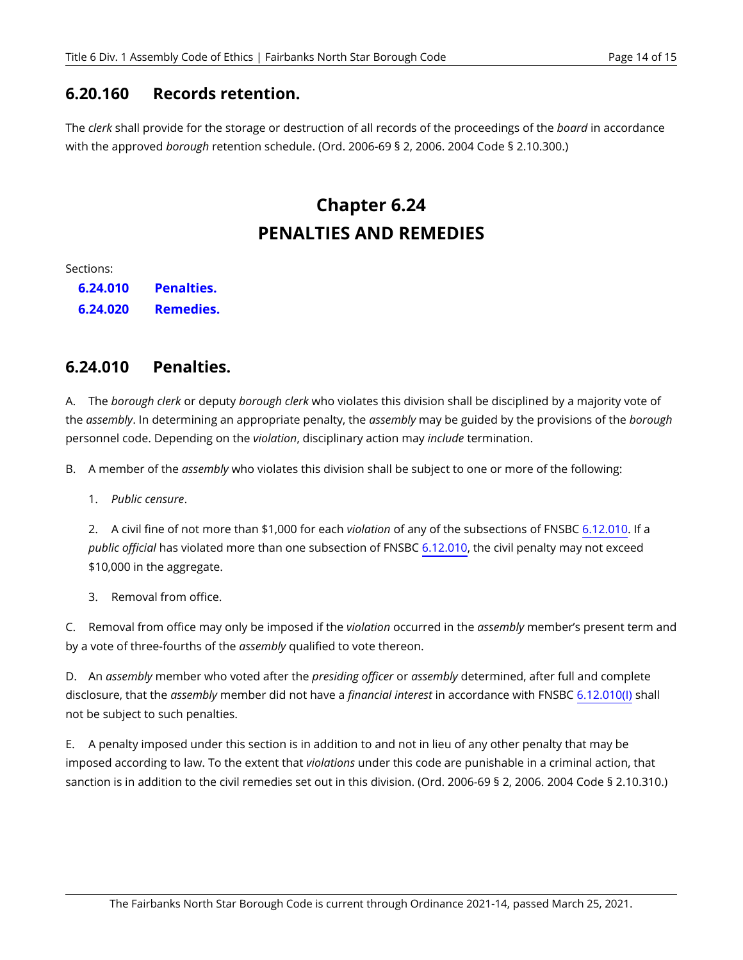#### <span id="page-15-0"></span>**6.20.160 Records retention.**

The *clerk* shall provide for the storage or destruction of all records of the proceedings of the *board* in accordance with the approved *borough* retention schedule. (Ord. 2006-69 § 2, 2006. 2004 Code § 2.10.300.)

# **Chapter 6.24 PENALTIES AND REMEDIES**

Sections:

**6.24.010 6.24.020 [Penalties.](#page-15-1)  [Remedies.](#page-16-0)** 

#### <span id="page-15-1"></span>**6.24.010 Penalties.**

A. The *borough clerk* or deputy *borough clerk* who violates this division shall be disciplined by a majority vote of the *assembly*. In determining an appropriate penalty, the *assembly* may be guided by the provisions of the *borough*  personnel code. Depending on the *violation*, disciplinary action may *include* termination.

B. A member of the *assembly* who violates this division shall be subject to one or more of the following:

1. *Public censure*.

2. A civil fine of not more than \$1,000 for each *violation* of any of the subsections of FNSBC [6.12.010.](#page-5-0) If a *public official* has violated more than one subsection of FNSBC [6.12.010](#page-5-0), the civil penalty may not exceed \$10,000 in the aggregate.

3. Removal from office.

C. Removal from office may only be imposed if the *violation* occurred in the *assembly* member's present term and by a vote of three-fourths of the *assembly* qualified to vote thereon.

D. An *assembly* member who voted after the *presiding officer* or *assembly* determined, after full and complete disclosure, that the *assembly* member did not have a *financial interest* in accordance with FNSBC [6.12.010\(I\)](#page-6-0) shall not be subject to such penalties.

E. A penalty imposed under this section is in addition to and not in lieu of any other penalty that may be imposed according to law. To the extent that *violations* under this code are punishable in a criminal action, that sanction is in addition to the civil remedies set out in this division. (Ord. 2006-69 § 2, 2006. 2004 Code § 2.10.310.)